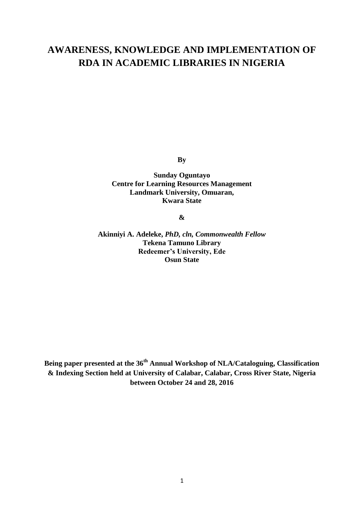# **AWARENESS, KNOWLEDGE AND IMPLEMENTATION OF RDA IN ACADEMIC LIBRARIES IN NIGERIA**

**By**

**Sunday Oguntayo Centre for Learning Resources Management Landmark University, Omuaran, Kwara State**

**&**

**Akinniyi A. Adeleke,** *PhD, cln, Commonwealth Fellow* **Tekena Tamuno Library Redeemer's University, Ede Osun State**

**Being paper presented at the 36th Annual Workshop of NLA/Cataloguing, Classification & Indexing Section held at University of Calabar, Calabar, Cross River State, Nigeria between October 24 and 28, 2016**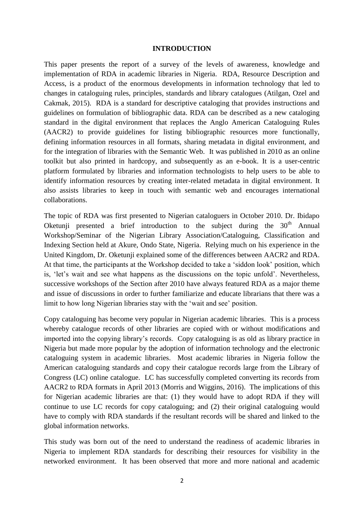## **INTRODUCTION**

This paper presents the report of a survey of the levels of awareness, knowledge and implementation of RDA in academic libraries in Nigeria. RDA, Resource Description and Access, is a product of the enormous developments in information technology that led to changes in cataloguing rules, principles, standards and library catalogues (Atilgan, Ozel and Cakmak, 2015). RDA is a standard for descriptive cataloging that provides instructions and guidelines on formulation of bibliographic data. RDA can be described as a new cataloging standard in the digital environment that replaces the Anglo American Cataloguing Rules (AACR2) to provide guidelines for listing bibliographic resources more functionally, defining information resources in all formats, sharing metadata in digital environment, and for the integration of libraries with the Semantic Web. It was published in 2010 as an online toolkit but also printed in hardcopy, and subsequently as an e-book. It is a user-centric platform formulated by libraries and information technologists to help users to be able to identify information resources by creating inter-related metadata in digital environment. It also assists libraries to keep in touch with semantic web and encourages international collaborations.

The topic of RDA was first presented to Nigerian cataloguers in October 2010. Dr. Ibidapo Oketunji presented a brief introduction to the subject during the  $30<sup>th</sup>$  Annual Workshop/Seminar of the Nigerian Library Association/Cataloguing, Classification and Indexing Section held at Akure, Ondo State, Nigeria. Relying much on his experience in the United Kingdom, Dr. Oketunji explained some of the differences between AACR2 and RDA. At that time, the participants at the Workshop decided to take a 'siddon look' position, which is, 'let's wait and see what happens as the discussions on the topic unfold'. Nevertheless, successive workshops of the Section after 2010 have always featured RDA as a major theme and issue of discussions in order to further familiarize and educate librarians that there was a limit to how long Nigerian libraries stay with the 'wait and see' position.

Copy cataloguing has become very popular in Nigerian academic libraries. This is a process whereby catalogue records of other libraries are copied with or without modifications and imported into the copying library's records. Copy cataloguing is as old as library practice in Nigeria but made more popular by the adoption of information technology and the electronic cataloguing system in academic libraries. Most academic libraries in Nigeria follow the American cataloguing standards and copy their catalogue records large from the Library of Congress (LC) online catalogue. LC has successfully completed converting its records from AACR2 to RDA formats in April 2013 (Morris and Wiggins, 2016). The implications of this for Nigerian academic libraries are that: (1) they would have to adopt RDA if they will continue to use LC records for copy cataloguing; and (2) their original cataloguing would have to comply with RDA standards if the resultant records will be shared and linked to the global information networks.

This study was born out of the need to understand the readiness of academic libraries in Nigeria to implement RDA standards for describing their resources for visibility in the networked environment. It has been observed that more and more national and academic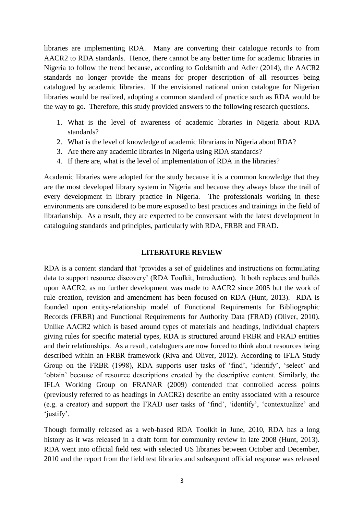libraries are implementing RDA. Many are converting their catalogue records to from AACR2 to RDA standards. Hence, there cannot be any better time for academic libraries in Nigeria to follow the trend because, according to Goldsmith and Adler (2014), the AACR2 standards no longer provide the means for proper description of all resources being catalogued by academic libraries. If the envisioned national union catalogue for Nigerian libraries would be realized, adopting a common standard of practice such as RDA would be the way to go. Therefore, this study provided answers to the following research questions.

- 1. What is the level of awareness of academic libraries in Nigeria about RDA standards?
- 2. What is the level of knowledge of academic librarians in Nigeria about RDA?
- 3. Are there any academic libraries in Nigeria using RDA standards?
- 4. If there are, what is the level of implementation of RDA in the libraries?

Academic libraries were adopted for the study because it is a common knowledge that they are the most developed library system in Nigeria and because they always blaze the trail of every development in library practice in Nigeria. The professionals working in these environments are considered to be more exposed to best practices and trainings in the field of librarianship. As a result, they are expected to be conversant with the latest development in cataloguing standards and principles, particularly with RDA, FRBR and FRAD.

## **LITERATURE REVIEW**

RDA is a content standard that 'provides a set of guidelines and instructions on formulating data to support resource discovery' (RDA Toolkit, Introduction). It both replaces and builds upon AACR2, as no further development was made to AACR2 since 2005 but the work of rule creation, revision and amendment has been focused on RDA (Hunt, 2013). RDA is founded upon entity-relationship model of Functional Requirements for Bibliographic Records (FRBR) and Functional Requirements for Authority Data (FRAD) (Oliver, 2010). Unlike AACR2 which is based around types of materials and headings, individual chapters giving rules for specific material types, RDA is structured around FRBR and FRAD entities and their relationships. As a result, cataloguers are now forced to think about resources being described within an FRBR framework (Riva and Oliver, 2012). According to IFLA Study Group on the FRBR (1998), RDA supports user tasks of 'find', 'identify', 'select' and 'obtain' because of resource descriptions created by the descriptive content. Similarly, the IFLA Working Group on FRANAR (2009) contended that controlled access points (previously referred to as headings in AACR2) describe an entity associated with a resource (e.g. a creator) and support the FRAD user tasks of 'find', 'identify', 'contextualize' and 'justify'.

Though formally released as a web-based RDA Toolkit in June, 2010, RDA has a long history as it was released in a draft form for community review in late 2008 (Hunt, 2013). RDA went into official field test with selected US libraries between October and December, 2010 and the report from the field test libraries and subsequent official response was released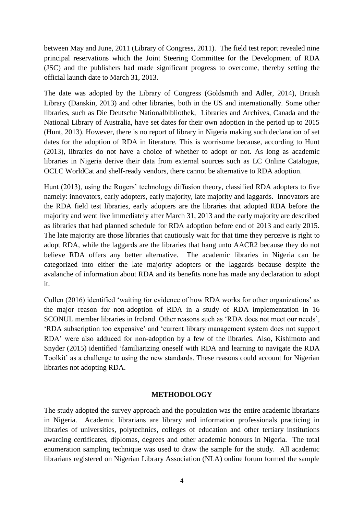between May and June, 2011 (Library of Congress, 2011). The field test report revealed nine principal reservations which the Joint Steering Committee for the Development of RDA (JSC) and the publishers had made significant progress to overcome, thereby setting the official launch date to March 31, 2013.

The date was adopted by the Library of Congress (Goldsmith and Adler, 2014), British Library (Danskin, 2013) and other libraries, both in the US and internationally. Some other libraries, such as Die Deutsche Nationalbibliothek, Libraries and Archives, Canada and the National Library of Australia, have set dates for their own adoption in the period up to 2015 (Hunt, 2013). However, there is no report of library in Nigeria making such declaration of set dates for the adoption of RDA in literature. This is worrisome because, according to Hunt (2013), libraries do not have a choice of whether to adopt or not. As long as academic libraries in Nigeria derive their data from external sources such as LC Online Catalogue, OCLC WorldCat and shelf-ready vendors, there cannot be alternative to RDA adoption.

Hunt (2013), using the Rogers' technology diffusion theory, classified RDA adopters to five namely: innovators, early adopters, early majority, late majority and laggards. Innovators are the RDA field test libraries, early adopters are the libraries that adopted RDA before the majority and went live immediately after March 31, 2013 and the early majority are described as libraries that had planned schedule for RDA adoption before end of 2013 and early 2015. The late majority are those libraries that cautiously wait for that time they perceive is right to adopt RDA, while the laggards are the libraries that hang unto AACR2 because they do not believe RDA offers any better alternative. The academic libraries in Nigeria can be categorized into either the late majority adopters or the laggards because despite the avalanche of information about RDA and its benefits none has made any declaration to adopt it.

Cullen (2016) identified 'waiting for evidence of how RDA works for other organizations' as the major reason for non-adoption of RDA in a study of RDA implementation in 16 SCONUL member libraries in Ireland. Other reasons such as 'RDA does not meet our needs', 'RDA subscription too expensive' and 'current library management system does not support RDA' were also adduced for non-adoption by a few of the libraries. Also, Kishimoto and Snyder (2015) identified 'familiarizing oneself with RDA and learning to navigate the RDA Toolkit' as a challenge to using the new standards. These reasons could account for Nigerian libraries not adopting RDA.

## **METHODOLOGY**

The study adopted the survey approach and the population was the entire academic librarians in Nigeria. Academic librarians are library and information professionals practicing in libraries of universities, polytechnics, colleges of education and other tertiary institutions awarding certificates, diplomas, degrees and other academic honours in Nigeria. The total enumeration sampling technique was used to draw the sample for the study. All academic librarians registered on Nigerian Library Association (NLA) online forum formed the sample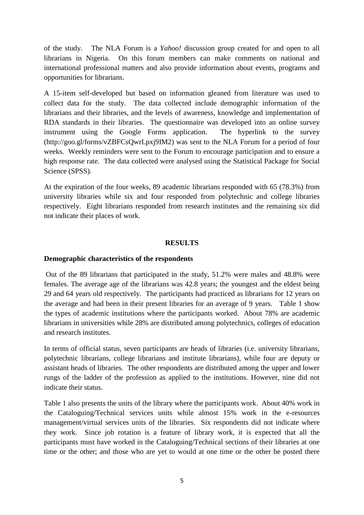of the study. The NLA Forum is a *Yahoo!* discussion group created for and open to all librarians in Nigeria. On this forum members can make comments on national and international professional matters and also provide information about events, programs and opportunities for librarians.

A 15-item self-developed but based on information gleaned from literature was used to collect data for the study. The data collected include demographic information of the librarians and their libraries, and the levels of awareness, knowledge and implementation of RDA standards in their libraries. The questionnaire was developed into an online survey instrument using the Google Forms application. The hyperlink to the survey [\(http://goo.gl/forms/vZBFCsQwrLpxj9IM2\)](http://goo.gl/forms/vZBFCsQwrLpxj9IM2) was sent to the NLA Forum for a period of four weeks. Weekly reminders were sent to the Forum to encourage participation and to ensure a high response rate. The data collected were analysed using the Statistical Package for Social Science (SPSS).

At the expiration of the four weeks, 89 academic librarians responded with 65 (78.3%) from university libraries while six and four responded from polytechnic and college libraries respectively. Eight librarians responded from research institutes and the remaining six did not indicate their places of work.

## **RESULTS**

## **Demographic characteristics of the respondents**

Out of the 89 librarians that participated in the study, 51.2% were males and 48.8% were females. The average age of the librarians was 42.8 years; the youngest and the eldest being 29 and 64 years old respectively. The participants had practiced as librarians for 12 years on the average and had been in their present libraries for an average of 9 years. Table 1 show the types of academic institutions where the participants worked. About 78% are academic librarians in universities while 28% are distributed among polytechnics, colleges of education and research institutes.

In terms of official status, seven participants are heads of libraries (i.e. university librarians, polytechnic librarians, college librarians and institute librarians), while four are deputy or assistant heads of libraries. The other respondents are distributed among the upper and lower rungs of the ladder of the profession as applied to the institutions. However, nine did not indicate their status.

Table 1 also presents the units of the library where the participants work. About 40% work in the Cataloguing/Technical services units while almost 15% work in the e-resources management/virtual services units of the libraries. Six respondents did not indicate where they work. Since job rotation is a feature of library work, it is expected that all the participants must have worked in the Cataloguing/Technical sections of their libraries at one time or the other; and those who are yet to would at one time or the other be posted there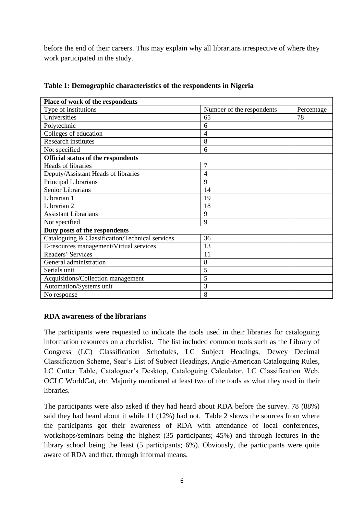before the end of their careers. This may explain why all librarians irrespective of where they work participated in the study.

| Place of work of the respondents                |                           |            |
|-------------------------------------------------|---------------------------|------------|
| Type of institutions                            | Number of the respondents | Percentage |
| Universities                                    | 65                        | 78         |
| Polytechnic                                     | 6                         |            |
| Colleges of education                           | 4                         |            |
| <b>Research institutes</b>                      | 8                         |            |
| Not specified                                   | 6                         |            |
| Official status of the respondents              |                           |            |
| Heads of libraries                              | $\overline{7}$            |            |
| Deputy/Assistant Heads of libraries             | 4                         |            |
| Principal Librarians                            | 9                         |            |
| <b>Senior Librarians</b>                        | 14                        |            |
| Librarian 1                                     | 19                        |            |
| Librarian 2                                     | 18                        |            |
| <b>Assistant Librarians</b>                     | 9                         |            |
| Not specified                                   | 9                         |            |
| Duty posts of the respondents                   |                           |            |
| Cataloguing & Classification/Technical services | 36                        |            |
| E-resources management/Virtual services         | 13                        |            |
| Readers' Services                               | 11                        |            |
| General administration                          | 8                         |            |
| Serials unit                                    | 5                         |            |
| Acquisitions/Collection management              | 5                         |            |
| Automation/Systems unit                         | 3                         |            |
| No response                                     | 8                         |            |

**Table 1: Demographic characteristics of the respondents in Nigeria**

## **RDA awareness of the librarians**

The participants were requested to indicate the tools used in their libraries for cataloguing information resources on a checklist. The list included common tools such as the Library of Congress (LC) Classification Schedules, LC Subject Headings, Dewey Decimal Classification Scheme, Sear's List of Subject Headings, Anglo-American Cataloguing Rules, LC Cutter Table, Cataloguer's Desktop, Cataloguing Calculator, LC Classification Web, OCLC WorldCat, etc. Majority mentioned at least two of the tools as what they used in their libraries.

The participants were also asked if they had heard about RDA before the survey. 78 (88%) said they had heard about it while 11 (12%) had not. Table 2 shows the sources from where the participants got their awareness of RDA with attendance of local conferences, workshops/seminars being the highest (35 participants; 45%) and through lectures in the library school being the least (5 participants; 6%). Obviously, the participants were quite aware of RDA and that, through informal means.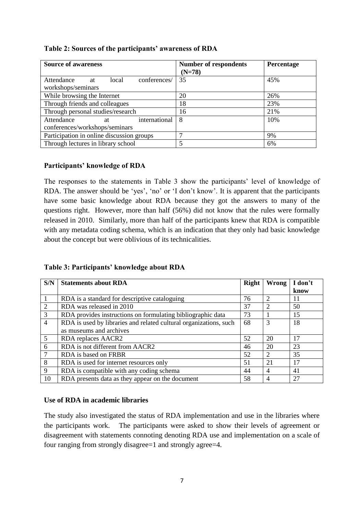| <b>Source of awareness</b>                | <b>Number of respondents</b><br>$(N=78)$ | Percentage |
|-------------------------------------------|------------------------------------------|------------|
| conferences/<br>Attendance<br>local<br>at | 35                                       | 45%        |
| workshops/seminars                        |                                          |            |
| While browsing the Internet               | 20                                       | 26%        |
| Through friends and colleagues            | 18                                       | 23%        |
| Through personal studies/research         | 16                                       | 21%        |
| international<br>Attendance<br>at         | 8                                        | 10%        |
| conferences/workshops/seminars            |                                          |            |
| Participation in online discussion groups | ⇁                                        | 9%         |
| Through lectures in library school        | 5                                        | 6%         |

# **Table 2: Sources of the participants' awareness of RDA**

## **Participants' knowledge of RDA**

The responses to the statements in Table 3 show the participants' level of knowledge of RDA. The answer should be 'yes', 'no' or 'I don't know'. It is apparent that the participants have some basic knowledge about RDA because they got the answers to many of the questions right. However, more than half (56%) did not know that the rules were formally released in 2010. Similarly, more than half of the participants knew that RDA is compatible with any metadata coding schema, which is an indication that they only had basic knowledge about the concept but were oblivious of its technicalities.

**Table 3: Participants' knowledge about RDA**

| S/N             | <b>Statements about RDA</b>                                       | <b>Right</b> | Wrong          | I don't |
|-----------------|-------------------------------------------------------------------|--------------|----------------|---------|
|                 |                                                                   |              |                | know    |
|                 | RDA is a standard for descriptive cataloguing                     | 76           | 2              | 11      |
| 2               | RDA was released in 2010                                          | 37           | $\mathfrak{D}$ | 50      |
| 3               | RDA provides instructions on formulating bibliographic data       | 73           |                | 15      |
| $\overline{4}$  | RDA is used by libraries and related cultural organizations, such | 68           | 3              | 18      |
|                 | as museums and archives                                           |              |                |         |
| $5\overline{)}$ | RDA replaces AACR2                                                | 52           | 20             | 17      |
| 6               | RDA is not different from AACR2                                   | 46           | 20             | 23      |
| 7               | RDA is based on FRBR                                              | 52           | 2              | 35      |
| 8               | RDA is used for internet resources only                           | 51           | 21             | 17      |
| 9               | RDA is compatible with any coding schema                          | 44           | 4              | 41      |
| 10              | RDA presents data as they appear on the document                  | 58           | 4              | 27      |

# **Use of RDA in academic libraries**

The study also investigated the status of RDA implementation and use in the libraries where the participants work. The participants were asked to show their levels of agreement or disagreement with statements connoting denoting RDA use and implementation on a scale of four ranging from strongly disagree=1 and strongly agree=4.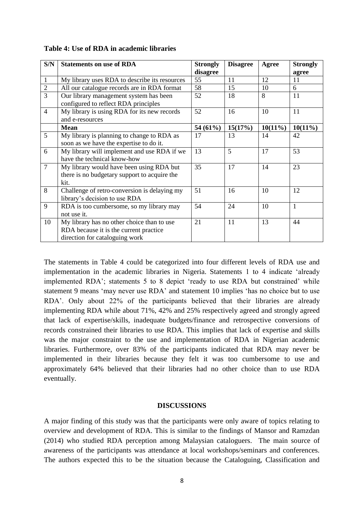| S/N            | <b>Statements on use of RDA</b>               | <b>Strongly</b> | <b>Disagree</b> | Agree      | <b>Strongly</b> |
|----------------|-----------------------------------------------|-----------------|-----------------|------------|-----------------|
|                |                                               | disagree        |                 |            | agree           |
| $\mathbf{1}$   | My library uses RDA to describe its resources | 55              | 11              | 12         | 11              |
| $\sqrt{2}$     | All our catalogue records are in RDA format   | 58              | 15              | 10         | 6               |
| $\overline{3}$ | Our library management system has been        | 52              | 18              | 8          | 11              |
|                | configured to reflect RDA principles          |                 |                 |            |                 |
| $\overline{4}$ | My library is using RDA for its new records   | 52              | 16              | 10         | 11              |
|                | and e-resources                               |                 |                 |            |                 |
|                | <b>Mean</b>                                   | 54 (61%)        | 15(17%)         | $10(11\%)$ | $10(11\%)$      |
| 5              | My library is planning to change to RDA as    | 17              | 13              | 14         | 42              |
|                | soon as we have the expertise to do it.       |                 |                 |            |                 |
| 6              | My library will implement and use RDA if we   | 13              | 5               | 17         | 53              |
|                | have the technical know-how                   |                 |                 |            |                 |
| $\overline{7}$ | My library would have been using RDA but      | 35              | 17              | 14         | 23              |
|                | there is no budgetary support to acquire the  |                 |                 |            |                 |
|                | kit.                                          |                 |                 |            |                 |
| 8              | Challenge of retro-conversion is delaying my  | 51              | 16              | 10         | 12              |
|                | library's decision to use RDA                 |                 |                 |            |                 |
| 9              | RDA is too cumbersome, so my library may      | 54              | 24              | 10         | $\mathbf{1}$    |
|                | not use it.                                   |                 |                 |            |                 |
| 10             | My library has no other choice than to use    | 21              | 11              | 13         | 44              |
|                | RDA because it is the current practice        |                 |                 |            |                 |
|                | direction for cataloguing work                |                 |                 |            |                 |

## **Table 4: Use of RDA in academic libraries**

The statements in Table 4 could be categorized into four different levels of RDA use and implementation in the academic libraries in Nigeria. Statements 1 to 4 indicate 'already implemented RDA'; statements 5 to 8 depict 'ready to use RDA but constrained' while statement 9 means 'may never use RDA' and statement 10 implies 'has no choice but to use RDA'. Only about 22% of the participants believed that their libraries are already implementing RDA while about 71%, 42% and 25% respectively agreed and strongly agreed that lack of expertise/skills, inadequate budgets/finance and retrospective conversions of records constrained their libraries to use RDA. This implies that lack of expertise and skills was the major constraint to the use and implementation of RDA in Nigerian academic libraries. Furthermore, over 83% of the participants indicated that RDA may never be implemented in their libraries because they felt it was too cumbersome to use and approximately 64% believed that their libraries had no other choice than to use RDA eventually.

#### **DISCUSSIONS**

A major finding of this study was that the participants were only aware of topics relating to overview and development of RDA. This is similar to the findings of Mansor and Ramzdan (2014) who studied RDA perception among Malaysian cataloguers. The main source of awareness of the participants was attendance at local workshops/seminars and conferences. The authors expected this to be the situation because the Cataloguing, Classification and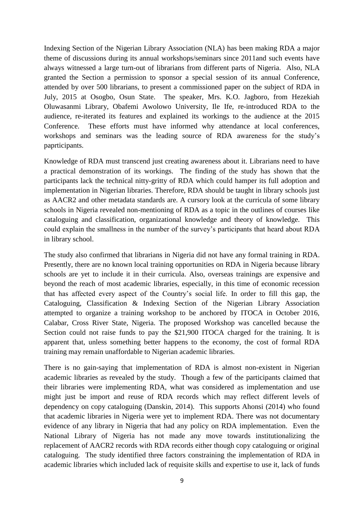Indexing Section of the Nigerian Library Association (NLA) has been making RDA a major theme of discussions during its annual workshops/seminars since 2011and such events have always witnessed a large turn-out of librarians from different parts of Nigeria. Also, NLA granted the Section a permission to sponsor a special session of its annual Conference, attended by over 500 librarians, to present a commissioned paper on the subject of RDA in July, 2015 at Osogbo, Osun State. The speaker, Mrs. K.O. Jagboro, from Hezekiah Oluwasanmi Library, Obafemi Awolowo University, Ile Ife, re-introduced RDA to the audience, re-iterated its features and explained its workings to the audience at the 2015 Conference. These efforts must have informed why attendance at local conferences, workshops and seminars was the leading source of RDA awareness for the study's paprticipants.

Knowledge of RDA must transcend just creating awareness about it. Librarians need to have a practical demonstration of its workings. The finding of the study has shown that the participants lack the technical nitty-gritty of RDA which could hamper its full adoption and implementation in Nigerian libraries. Therefore, RDA should be taught in library schools just as AACR2 and other metadata standards are. A cursory look at the curricula of some library schools in Nigeria revealed non-mentioning of RDA as a topic in the outlines of courses like cataloguing and classification, organizational knowledge and theory of knowledge. This could explain the smallness in the number of the survey's participants that heard about RDA in library school.

The study also confirmed that librarians in Nigeria did not have any formal training in RDA. Presently, there are no known local training opportunities on RDA in Nigeria because library schools are yet to include it in their curricula. Also, overseas trainings are expensive and beyond the reach of most academic libraries, especially, in this time of economic recession that has affected every aspect of the Country's social life. In order to fill this gap, the Cataloguing, Classification & Indexing Section of the Nigerian Library Association attempted to organize a training workshop to be anchored by ITOCA in October 2016, Calabar, Cross River State, Nigeria. The proposed Workshop was cancelled because the Section could not raise funds to pay the \$21,900 ITOCA charged for the training. It is apparent that, unless something better happens to the economy, the cost of formal RDA training may remain unaffordable to Nigerian academic libraries.

There is no gain-saying that implementation of RDA is almost non-existent in Nigerian academic libraries as revealed by the study. Though a few of the participants claimed that their libraries were implementing RDA, what was considered as implementation and use might just be import and reuse of RDA records which may reflect different levels of dependency on copy cataloguing (Danskin, 2014). This supports Ahonsi (2014) who found that academic libraries in Nigeria were yet to implement RDA. There was not documentary evidence of any library in Nigeria that had any policy on RDA implementation. Even the National Library of Nigeria has not made any move towards institutionalizing the replacement of AACR2 records with RDA records either though copy cataloguing or original cataloguing. The study identified three factors constraining the implementation of RDA in academic libraries which included lack of requisite skills and expertise to use it, lack of funds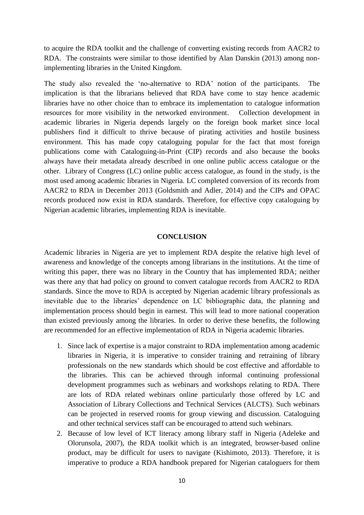to acquire the RDA toolkit and the challenge of converting existing records from AACR2 to RDA. The constraints were similar to those identified by Alan Danskin (2013) among nonimplementing libraries in the United Kingdom.

The study also revealed the 'no-alternative to RDA' notion of the participants. The implication is that the librarians believed that RDA have come to stay hence academic libraries have no other choice than to embrace its implementation to catalogue information resources for more visibility in the networked environment. Collection development in academic libraries in Nigeria depends largely on the foreign book market since local publishers find it difficult to thrive because of pirating activities and hostile business environment. This has made copy cataloguing popular for the fact that most foreign publications come with Cataloguing-in-Print (CIP) records and also because the books always have their metadata already described in one online public access catalogue or the other. Library of Congress (LC) online public access catalogue, as found in the study, is the most used among academic libraries in Nigeria. LC completed conversion of its records from AACR2 to RDA in December 2013 (Goldsmith and Adler, 2014) and the CIPs and OPAC records produced now exist in RDA standards. Therefore, for effective copy cataloguing by Nigerian academic libraries, implementing RDA is inevitable.

#### **CONCLUSION**

Academic libraries in Nigeria are yet to implement RDA despite the relative high level of awareness and knowledge of the concepts among librarians in the institutions. At the time of writing this paper, there was no library in the Country that has implemented RDA; neither was there any that had policy on ground to convert catalogue records from AACR2 to RDA standards. Since the move to RDA is accepted by Nigerian academic library professionals as inevitable due to the libraries' dependence on LC bibliographic data, the planning and implementation process should begin in earnest. This will lead to more national cooperation than existed previously among the libraries. In order to derive these benefits, the following are recommended for an effective implementation of RDA in Nigeria academic libraries.

- 1. Since lack of expertise is a major constraint to RDA implementation among academic libraries in Nigeria, it is imperative to consider training and retraining of library professionals on the new standards which should be cost effective and affordable to the libraries. This can be achieved through informal continuing professional development programmes such as webinars and workshops relating to RDA. There are lots of RDA related webinars online particularly those offered by LC and Association of Library Collections and Technical Services (ALCTS). Such webinars can be projected in reserved rooms for group viewing and discussion. Cataloguing and other technical services staff can be encouraged to attend such webinars.
- 2. Because of low level of ICT literacy among library staff in Nigeria (Adeleke and Olorunsola, 2007), the RDA toolkit which is an integrated, browser-based online product, may be difficult for users to navigate (Kishimoto, 2013). Therefore, it is imperative to produce a RDA handbook prepared for Nigerian cataloguers for them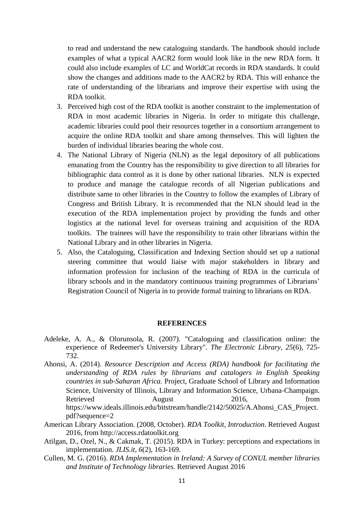to read and understand the new cataloguing standards. The handbook should include examples of what a typical AACR2 form would look like in the new RDA form. It could also include examples of LC and WorldCat records in RDA standards. It could show the changes and additions made to the AACR2 by RDA. This will enhance the rate of understanding of the librarians and improve their expertise with using the RDA toolkit.

- 3. Perceived high cost of the RDA toolkit is another constraint to the implementation of RDA in most academic libraries in Nigeria. In order to mitigate this challenge, academic libraries could pool their resources together in a consortium arrangement to acquire the online RDA toolkit and share among themselves. This will lighten the burden of individual libraries bearing the whole cost.
- 4. The National Library of Nigeria (NLN) as the legal depository of all publications emanating from the Country has the responsibility to give direction to all libraries for bibliographic data control as it is done by other national libraries. NLN is expected to produce and manage the catalogue records of all Nigerian publications and distribute same to other libraries in the Country to follow the examples of Library of Congress and British Library. It is recommended that the NLN should lead in the execution of the RDA implementation project by providing the funds and other logistics at the national level for overseas training and acquisition of the RDA toolkits. The trainees will have the responsibility to train other librarians within the National Library and in other libraries in Nigeria.
- 5. Also, the Cataloguing, Classification and Indexing Section should set up a national steering committee that would liaise with major stakeholders in library and information profession for inclusion of the teaching of RDA in the curricula of library schools and in the mandatory continuous training programmes of Librarians' Registration Council of Nigeria in to provide formal training to librarians on RDA.

#### **REFERENCES**

- Adeleke, A. A., & Olorunsola, R. (2007). "Cataloguing and classification online: the experience of Redeemer's University Library". *The Electronic Library, 25*(6), 725- 732.
- Ahonsi, A. (2014). *Resource Description and Access (RDA) handbook for facilitating the understanding of RDA rules by librarians and catalogers in English Speaking countries in sub‐Saharan Africa.* Project, Graduate School of Library and Information Science, University of Illinois, Library and Information Science, Urbana‐Champaign. Retrieved August 2016, from https://www.ideals.illinois.edu/bitstream/handle/2142/50025/A.Ahonsi\_CAS\_Project. pdf?sequence=2
- American Library Association. (2008, October). *RDA Toolkit, Introduction*. Retrieved August 2016, from http://access.rdatoolkit.org
- Atilgan, D., Ozel, N., & Cakmak, T. (2015). RDA in Turkey: perceptions and expectations in implementation. *JLIS.it, 6*(2), 163-169.
- Cullen, M. G. (2016). *RDA Implementation in Ireland: A Survey of CONUL member libraries and Institute of Technology libraries.* Retrieved August 2016